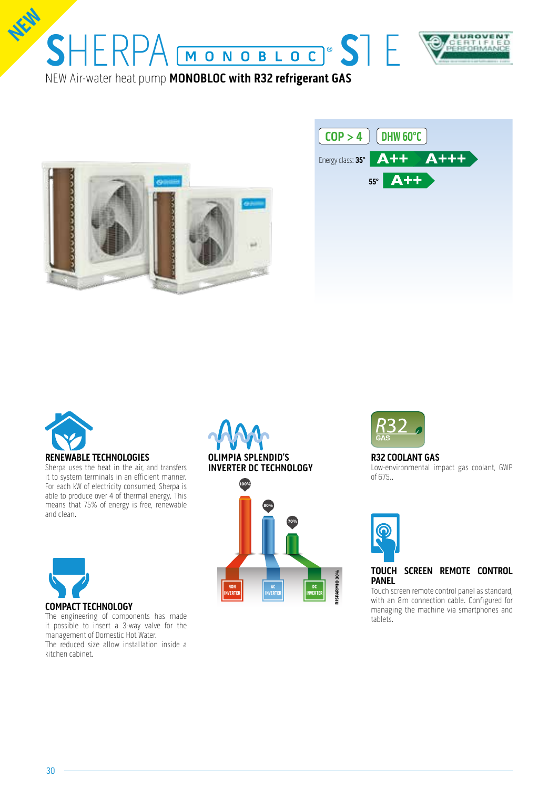







#### **RENEWABLE TECHNOLOGIES**

Sherpa uses the heat in the air, and transfers it to system terminals in an efficient manner. For each kW of electricity consumed, Sherpa is able to produce over 4 of thermal energy. This means that 75% of energy is free, renewable and clean.



The engineering of components has made it possible to insert a 3-way valve for the management of Domestic Hot Water. The reduced size allow installation inside a kitchen cabinet.







## **R32 COOLANT GAS**

Low-environmental impact gas coolant, GWP of 675..



#### **TOUCH SCREEN REMOTE CONTROL PANEL**

Touch screen remote control panel as standard, with an 8m connection cable. Configured for managing the machine via smartphones and tablets.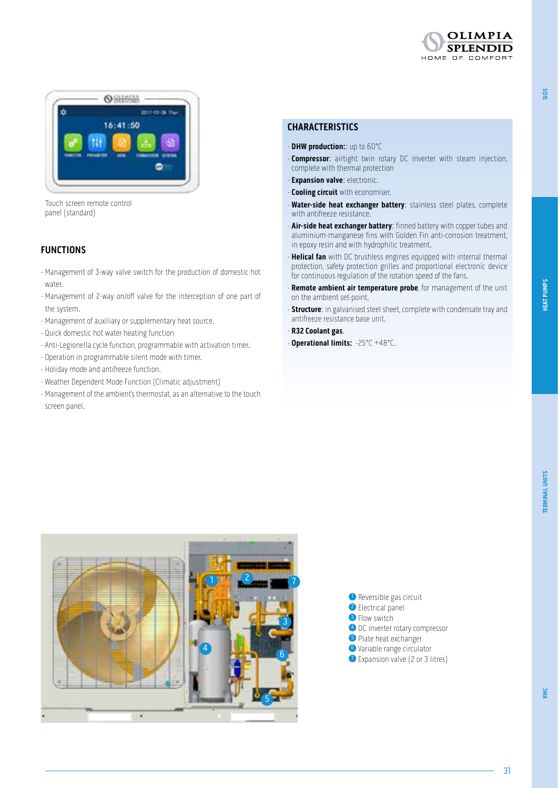



Touch screen remote control panel (standard)

# **FUNCTIONS**

- Management of 3-way valve switch for the production of domestic hot water.
- Management of 2-way on/off valve for the interception of one part of the system.
- Management of auxiliary or supplementary heat source.
- Quick domestic hot water heating function
- Anti-Legionella cycle function, programmable with activation timer.
- Operation in programmable silent mode with timer.
- Holiday mode and antifreeze function.
- Weather Dependent Mode Function (Climatic adjustment)
- Management of the ambient's thermostat, as an alternative to the touch screen panel.

#### **CHARACTERISTICS**

- **DHW production:**: up to 60°C
- **Compressor**: airtight twin rotary DC Inverter with steam injection, complete with thermal protection
- **Expansion valve**: electronic.
- **Cooling circuit** with economiser.
- **Water-side heat exchanger battery**: stainless steel plates, complete with antifreeze resistance.
- **Air-side heat exchanger battery**: finned battery with copper tubes and aluminium-manganese fins with Golden Fin anti-corrosion treatment, in epoxy resin and with hydrophilic treatment.
- **Helical fan** with DC brushless engines equipped with internal thermal protection, safety protection grilles and proportional electronic device for continuous regulation of the rotation speed of the fans.
- **Remote ambient air temperature probe**, for management of the unit on the ambient set-point.
- **Structure**: in galvanised steel sheet, complete with condensate tray and antifreeze resistance base unit.
- **R32 Coolant gas**.
- **Operational limits:** -25°C +48°C.





**SiOS**

31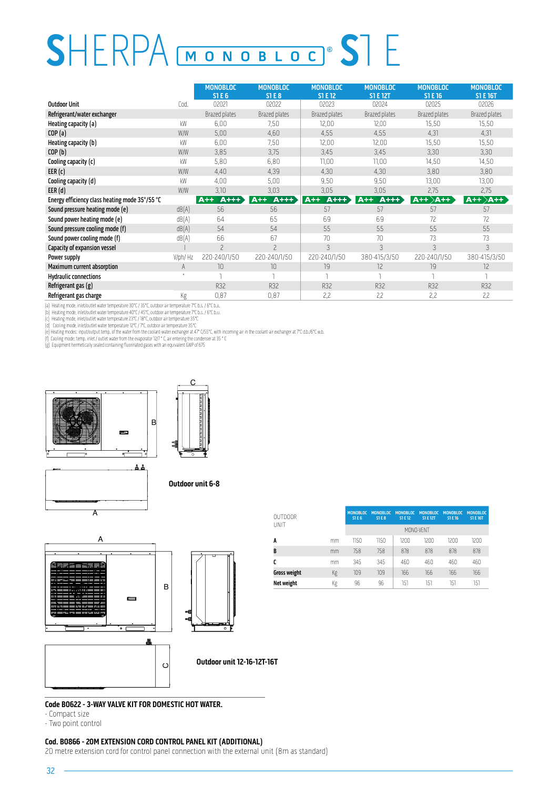# SHERPA MONOBLOC<sup>®</sup> STE

|                                                |              | <b>MONOBLOC</b><br><b>STE6</b> | <b>MONOBLOC</b><br><b>STE8</b> | <b>MONOBLOC</b><br><b>ST E 12</b> | <b>MONOBLOC</b><br><b>ST E 12T</b> | <b>MONOBLOC</b><br>ST E 16 | <b>MONOBLOC</b><br><b>ST E 16T</b> |
|------------------------------------------------|--------------|--------------------------------|--------------------------------|-----------------------------------|------------------------------------|----------------------------|------------------------------------|
| <b>Outdoor Unit</b>                            | Cod.         | 02021                          | 02022                          | 02023                             | 02024                              | 02025                      | 02026                              |
| Refrigerant/water exchanger                    |              | Brazed plates                  | Brazed plates                  | <b>Brazed plates</b>              | <b>Brazed plates</b>               | Brazed plates              | Brazed plates                      |
| Heating capacity (a)                           | kW           | 6,00                           | 7,50                           | 12,00                             | 12,00                              | 15,50                      | 15,50                              |
| COP(a)                                         | W/W          | 5,00                           | 4,60                           | 4,55                              | 4,55                               | 4,31                       | 4,31                               |
| Heating capacity (b)                           | kW           | 6,00                           | 7,50                           | 12,00                             | 12,00                              | 15,50                      | 15,50                              |
| COP(b)                                         | W/W          | 3,85                           | 3,75                           | 3,45                              | 3,45                               | 3,30                       | 3,30                               |
| Cooling capacity (c)                           | kW           | 5,80                           | 6,80                           | 11,00                             | 11,00                              | 14,50                      | 14,50                              |
| EER(c)                                         | W/W          | 4,40                           | 4,39                           | 4,30                              | 4,30                               | 3,80                       | 3,80                               |
| Cooling capacity (d)                           | kW           | 4,00                           | 5,00                           | 9,50                              | 9,50                               | 13,00                      | 13,00                              |
| EER(d)                                         | W/W          | 3,10                           | 3,03                           | 3,05                              | 3,05                               | 2,75                       | 2,75                               |
| Energy efficiency class heating mode 35°/55 °C |              | $A++$<br>$A++$                 | $A++$<br>$A++$                 | $A++$<br>$A++$                    | $A++$<br>$A++$                     | $A++\overline{A++}$        | $ $ A++ $\rangle$ A++ $\rangle$    |
| Sound pressure heating mode (e)                | dB(A)        | 56                             | 56                             | 57                                | 57                                 | 57                         | 57                                 |
| Sound power heating mode (e)                   | dB(A)        | 64                             | 65                             | 69                                | 69                                 | 72                         | 72                                 |
| Sound pressure cooling mode (f)                | dB(A)        | 54                             | 54                             | 55                                | 55                                 | 55                         | 55                                 |
| Sound power cooling mode (f)                   | dB(A)        | 66                             | 67                             | 70                                | 70                                 | 73                         | 73                                 |
| Capacity of expansion vessel                   |              | $\overline{\phantom{0}}$       | $\overline{\phantom{0}}$       | 3                                 | $\mathcal{E}$                      | $\mathcal{E}$              | 3                                  |
| Power supply                                   | V/ph/Hz      | 220-240/1/50                   | 220-240/1/50                   | 220-240/1/50                      | 380-415/3/50                       | 220-240/1/50               | 380-415/3/50                       |
| Maximum current absorption                     | A            | 10                             | 10                             | 19                                | 12                                 | 19                         | 12                                 |
| <b>Hydraulic connections</b>                   | $\mathbf{a}$ |                                | J.                             |                                   |                                    |                            |                                    |
| Refrigerant gas (g)                            |              | <b>R32</b>                     | R32                            | R32                               | R32                                | R32                        | R32                                |
| Refrigerant gas charge                         | Kg           | 0,87                           | 0,87                           | 2,2                               | 2,2                                | 2,2                        | 2.2                                |

(a) Heating mode, inlet/outlet water temperature 30°C / 35°C, outdoor air temperature 7°C b.s. / 6°C b.u.<br>(b) Heating mode, inlet/outlet water temperature 40°C / 45°C, outdoor air temperature 7°C b.s. / 6°C b.u.<br>(c) Heatin



C



**Outdoor unit 6-8**



| <b>OUTDOOR</b>      |    | <b>MONOBLOC</b><br><b>STE6</b> | <b>MONOBLOC</b><br>STER | <b>MONOBLOC</b><br><b>ST E 12</b> | <b>MONOBLOC</b><br><b>ST E 12T</b> | <b>MONOBLOC</b><br>S1 E 16 | <b>MONOBLOC</b><br><b>ST E 16T</b> |  |
|---------------------|----|--------------------------------|-------------------------|-----------------------------------|------------------------------------|----------------------------|------------------------------------|--|
| UNIT                |    | MONO-VENT                      |                         |                                   |                                    |                            |                                    |  |
| A                   | mm | 1150                           | 1150                    | 1200                              | 1200                               | 1200                       | 1200                               |  |
| B                   | mm | 758                            | 758                     | 878                               | 878                                | 878                        | 878                                |  |
| C                   | mm | 345                            | 345                     | 460                               | 460                                | 460                        | 460                                |  |
| <b>Gross weight</b> | Кg | 109                            | 109                     | 166                               | 166                                | 166                        | 166                                |  |
| Net weight          | Кg | 96                             | 96                      | 151                               | 151                                | 151                        | 151                                |  |

## **Code B0622 - 3-WAY VALVE KIT FOR DOMESTIC HOT WATER.**

- Compact size

 $\sim$ 

- Two point control

#### **Cod. B0866 - 20M EXTENSION CORD CONTROL PANEL KIT (ADDITIONAL)**

20 metre extension cord for control panel connection with the external unit (8m as standard)